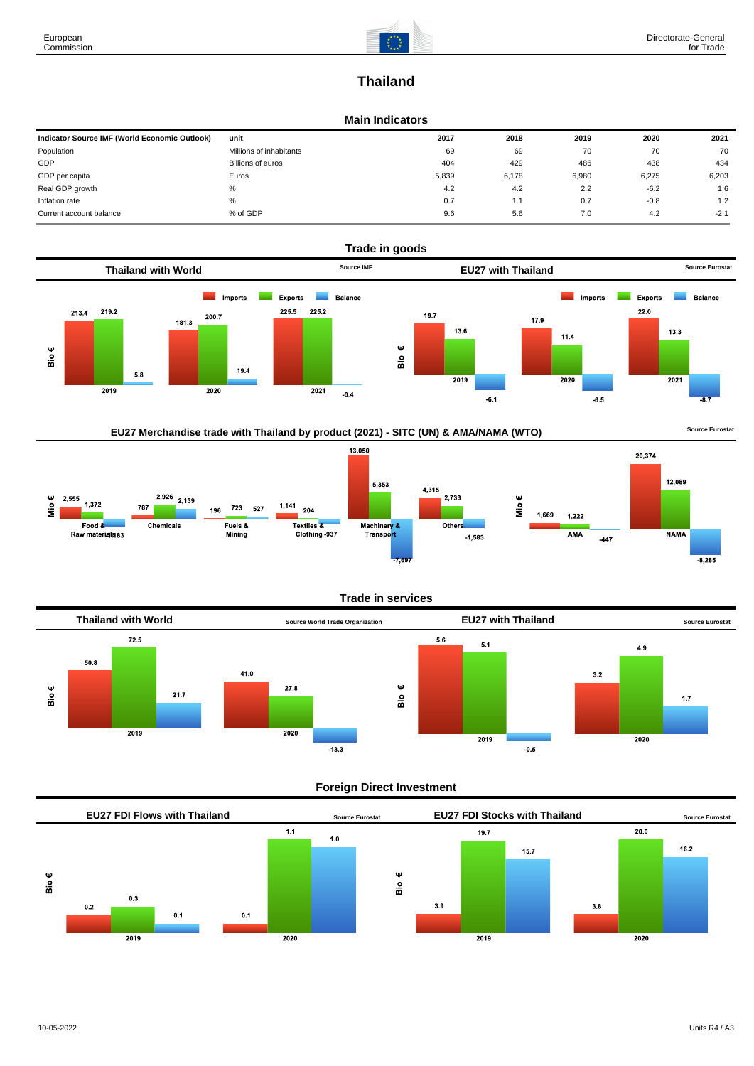

# **Thailand**

### **Main Indicators**

| Indicator Source IMF (World Economic Outlook) | unit                    | 2017  | 2018  | 2019  | 2020   | 2021   |
|-----------------------------------------------|-------------------------|-------|-------|-------|--------|--------|
| Population                                    | Millions of inhabitants | 69    | 69    | 70    | 70     | 70     |
| GDP                                           | Billions of euros       | 404   | 429   | 486   | 438    | 434    |
| GDP per capita                                | Euros                   | 5.839 | 6.178 | 6,980 | 6,275  | 6,203  |
| Real GDP growth                               | %                       | 4.2   | 4.2   | 2.2   | $-6.2$ | 1.6    |
| Inflation rate                                | $\%$                    | 0.7   | 1.1   | 0.7   | $-0.8$ | 1.2    |
| Current account balance                       | % of GDP                | 9.6   | 5.6   | 7.0   | 4.2    | $-2.1$ |



## EU27 Merchandise trade with Thailand by product (2021) - SITC (UN) & AMA/NAMA (WTO) **Source Eurostat**



#### **Trade in services**



#### **Foreign Direct Investment**